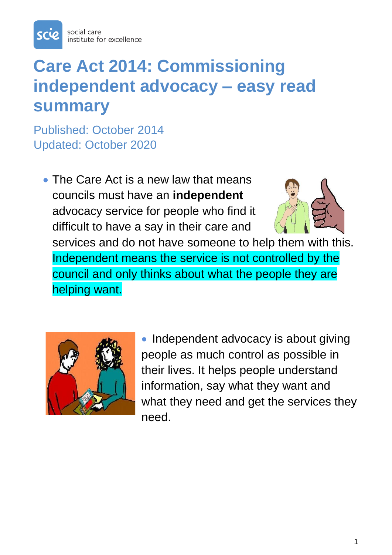

## **Care Act 2014: Commissioning independent advocacy – easy read summary**

Published: October 2014 Updated: October 2020

• The Care Act is a new law that means councils must have an **independent** advocacy service for people who find it difficult to have a say in their care and services and do not have someone to help them with this. Independent means the service is not controlled by the council and only thinks about what the people they are helping want.



• Independent advocacy is about giving people as much control as possible in their lives. It helps people understand information, say what they want and what they need and get the services they need.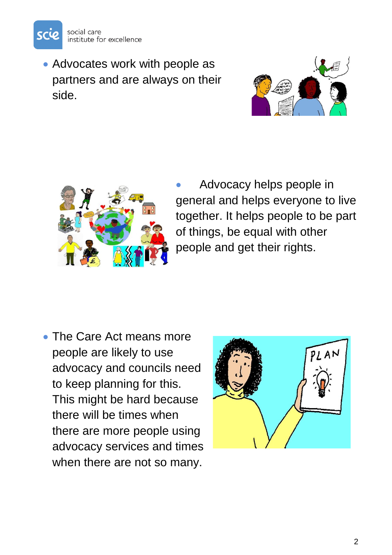

• Advocates work with people as partners and are always on their side.





• Advocacy helps people in general and helps everyone to live together. It helps people to be part of things, be equal with other people and get their rights.

• The Care Act means more people are likely to use advocacy and councils need to keep planning for this. This might be hard because there will be times when there are more people using advocacy services and times when there are not so many.

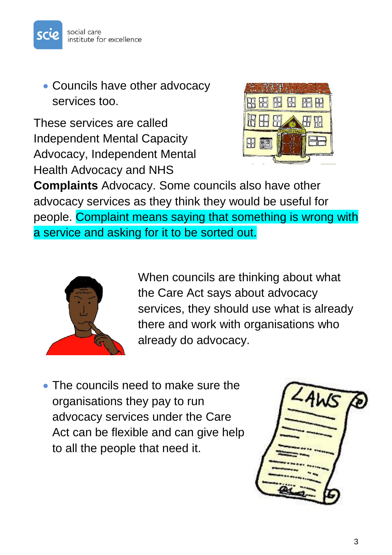

• Councils have other advocacy services too.

These services are called Independent Mental Capacity Advocacy, Independent Mental Health Advocacy and NHS



**Complaints** Advocacy. Some councils also have other advocacy services as they think they would be useful for people. Complaint means saying that something is wrong with a service and asking for it to be sorted out.



When councils are thinking about what the Care Act says about advocacy services, they should use what is already there and work with organisations who already do advocacy.

• The councils need to make sure the organisations they pay to run advocacy services under the Care Act can be flexible and can give help to all the people that need it.

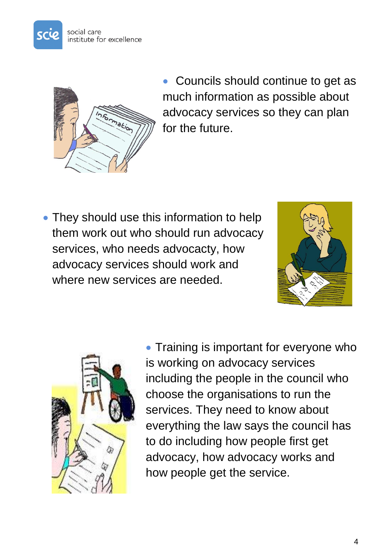



• Councils should continue to get as much information as possible about advocacy services so they can plan for the future.

• They should use this information to help them work out who should run advocacy services, who needs advocacty, how advocacy services should work and where new services are needed.





• Training is important for everyone who is working on advocacy services including the people in the council who choose the organisations to run the services. They need to know about everything the law says the council has to do including how people first get advocacy, how advocacy works and how people get the service.